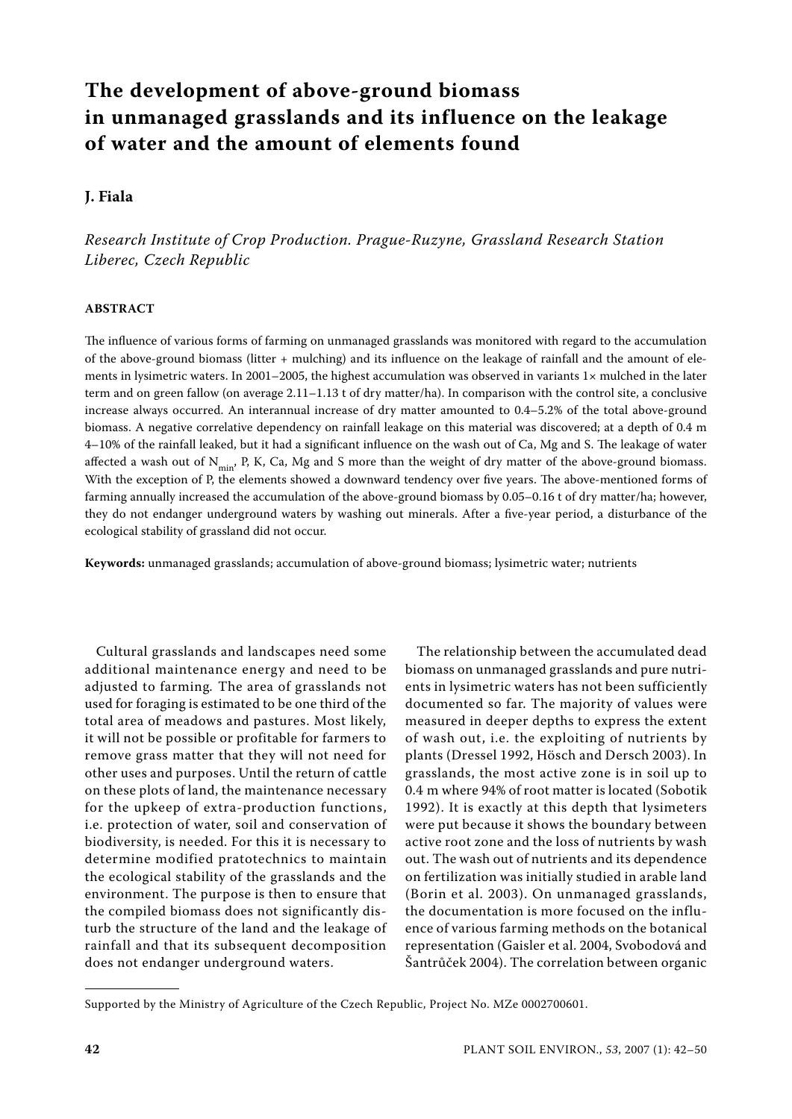# **The development of above-ground biomass in unmanaged grasslands and its influence on the leakage of water and the amount of elements found**

## **J. Fiala**

*Research Institute of Crop Production. Prague-Ruzyne, Grassland Research Station Liberec, Czech Republic*

#### **ABSTRACT**

The influence of various forms of farming on unmanaged grasslands was monitored with regard to the accumulation of the above-ground biomass (litter + mulching) and its influence on the leakage of rainfall and the amount of elements in lysimetric waters. In 2001–2005, the highest accumulation was observed in variants  $1 \times$  mulched in the later term and on green fallow (on average 2.11–1.13 t of dry matter/ha). In comparison with the control site, a conclusive increase always occurred. An interannual increase of dry matter amounted to 0.4–5.2% of the total above-ground biomass. A negative correlative dependency on rainfall leakage on this material was discovered; at a depth of 0.4 m 4–10% of the rainfall leaked, but it had a significant influence on the wash out of Ca, Mg and S. The leakage of water affected a wash out of  $N_{min}$ , P, K, Ca, Mg and S more than the weight of dry matter of the above-ground biomass. With the exception of P, the elements showed a downward tendency over five years. The above-mentioned forms of farming annually increased the accumulation of the above-ground biomass by 0.05–0.16 t of dry matter/ha; however, they do not endanger underground waters by washing out minerals. After a five-year period, a disturbance of the ecological stability of grassland did not occur.

**Keywords:** unmanaged grasslands; accumulation of above-ground biomass; lysimetric water; nutrients

Cultural grasslands and landscapes need some additional maintenance energy and need to be adjusted to farming*.* The area of grasslands not used for foraging is estimated to be one third of the total area of meadows and pastures. Most likely, it will not be possible or profitable for farmers to remove grass matter that they will not need for other uses and purposes. Until the return of cattle on these plots of land, the maintenance necessary for the upkeep of extra-production functions, i.e. protection of water, soil and conservation of biodiversity, is needed. For this it is necessary to determine modified pratotechnics to maintain the ecological stability of the grasslands and the environment. The purpose is then to ensure that the compiled biomass does not significantly disturb the structure of the land and the leakage of rainfall and that its subsequent decomposition does not endanger underground waters.

The relationship between the accumulated dead biomass on unmanaged grasslands and pure nutrients in lysimetric waters has not been sufficiently documented so far. The majority of values were measured in deeper depths to express the extent of wash out, i.e. the exploiting of nutrients by plants (Dressel 1992, Hösch and Dersch 2003). In grasslands, the most active zone is in soil up to 0.4 m where 94% of root matter is located (Sobotik 1992). It is exactly at this depth that lysimeters were put because it shows the boundary between active root zone and the loss of nutrients by wash out. The wash out of nutrients and its dependence on fertilization was initially studied in arable land (Borin et al. 2003). On unmanaged grasslands, the documentation is more focused on the influence of various farming methods on the botanical representation (Gaisler et al. 2004, Svobodová and Šantrůček 2004). The correlation between organic

Supported by the Ministry of Agriculture of the Czech Republic, Project No. MZe 0002700601.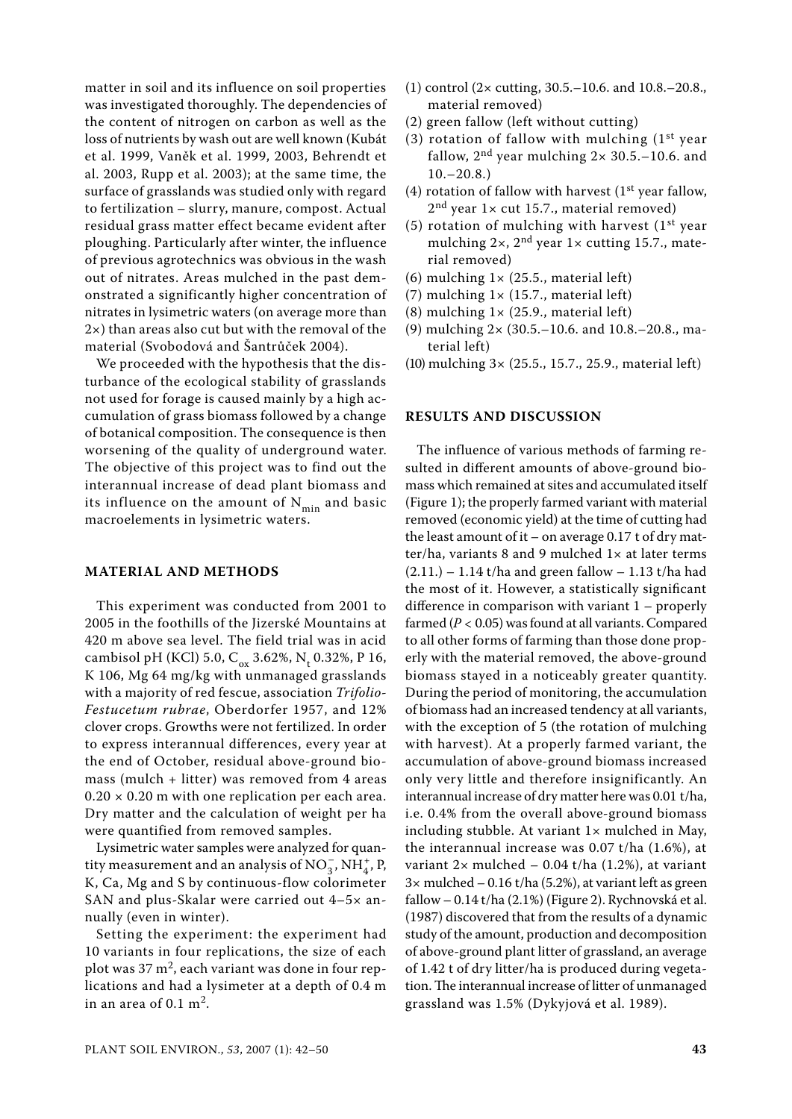matter in soil and its influence on soil properties was investigated thoroughly. The dependencies of the content of nitrogen on carbon as well as the loss of nutrients by wash out are well known (Kubát et al. 1999, Vaněk et al. 1999, 2003, Behrendt et al. 2003, Rupp et al. 2003); at the same time, the surface of grasslands was studied only with regard to fertilization – slurry, manure, compost. Actual residual grass matter effect became evident after ploughing. Particularly after winter, the influence of previous agrotechnics was obvious in the wash out of nitrates. Areas mulched in the past demonstrated a significantly higher concentration of nitrates in lysimetric waters (on average more than 2×) than areas also cut but with the removal of the material (Svobodová and Šantrůček 2004).

We proceeded with the hypothesis that the disturbance of the ecological stability of grasslands not used for forage is caused mainly by a high accumulation of grass biomass followed by a change of botanical composition. The consequence is then worsening of the quality of underground water. The objective of this project was to find out the interannual increase of dead plant biomass and its influence on the amount of  $N_{\text{min}}$  and basic macroelements in lysimetric waters.

#### **MATERIAL AND METHODS**

This experiment was conducted from 2001 to 2005 in the foothills of the Jizerské Mountains at 420 m above sea level. The field trial was in acid cambisol pH (KCl) 5.0,  $C_{ox}$  3.62%, N<sub>t</sub> 0.32%, P 16, K 106, Mg 64 mg/kg with unmanaged grasslands with a majority of red fescue, association *Trifolio-Festucetum rubrae*, Oberdorfer 1957, and 12% clover crops. Growths were not fertilized. In order to express interannual differences, every year at the end of October, residual above-ground biomass (mulch + litter) was removed from 4 areas  $0.20 \times 0.20$  m with one replication per each area. Dry matter and the calculation of weight per ha were quantified from removed samples.

Lysimetric water samples were analyzed for quantity measurement and an analysis of  $NO_3^-$ ,  $NH_4^+$ , P, K, Ca, Mg and S by continuous-flow colorimeter SAN and plus-Skalar were carried out 4–5× annually (even in winter).

Setting the experiment: the experiment had 10 variants in four replications, the size of each plot was  $37 \text{ m}^2$ , each variant was done in four replications and had a lysimeter at a depth of 0.4 m in an area of 0.1  $m<sup>2</sup>$ .

- (1) control (2× cutting, 30.5.–10.6. and 10.8.–20.8., material removed)
- (2) green fallow (left without cutting)
- (3) rotation of fallow with mulching  $(1<sup>st</sup>$  year fallow,  $2<sup>nd</sup>$  year mulching  $2 \times 30.5$ . -10.6. and  $10,-20.8.$
- (4) rotation of fallow with harvest ( $1<sup>st</sup>$  year fallow,  $2<sup>nd</sup>$  year 1× cut 15.7., material removed)
- (5) rotation of mulching with harvest  $(1<sup>st</sup>$  year mulching  $2\times$ ,  $2<sup>nd</sup>$  year  $1\times$  cutting 15.7., material removed)
- (6) mulching  $1 \times (25.5, \text{ material left})$
- (7) mulching  $1 \times (15.7)$ , material left)
- (8) mulching  $1 \times (25.9, \text{ material left})$
- (9) mulching 2× (30.5.–10.6. and 10.8.–20.8., material left)
- (10) mulching 3× (25.5., 15.7., 25.9., material left)

### **RESULTS AND DISCUSSION**

The influence of various methods of farming resulted in different amounts of above-ground biomass which remained at sites and accumulated itself (Figure 1); the properly farmed variant with material removed (economic yield) at the time of cutting had the least amount of it – on average 0.17 t of dry matter/ha, variants 8 and 9 mulched 1× at later terms  $(2.11.) - 1.14$  t/ha and green fallow  $- 1.13$  t/ha had the most of it. However, a statistically significant difference in comparison with variant 1 – properly farmed (*P* < 0.05) was found at all variants. Compared to all other forms of farming than those done properly with the material removed, the above-ground biomass stayed in a noticeably greater quantity. During the period of monitoring, the accumulation of biomass had an increased tendency at all variants, with the exception of 5 (the rotation of mulching with harvest). At a properly farmed variant, the accumulation of above-ground biomass increased only very little and therefore insignificantly. An interannual increase of dry matter here was 0.01 t/ha, i.e. 0.4% from the overall above-ground biomass including stubble. At variant  $1\times$  mulched in May, the interannual increase was 0.07 t/ha (1.6%), at variant  $2 \times$  mulched  $- 0.04$  t/ha (1.2%), at variant  $3\times$  mulched  $-0.16$  t/ha (5.2%), at variant left as green fallow – 0.14 t/ha (2.1%) (Figure 2). Rychnovská et al. (1987) discovered that from the results of a dynamic study of the amount, production and decomposition of above-ground plant litter of grassland, an average of 1.42 t of dry litter/ha is produced during vegetation. The interannual increase of litter of unmanaged grassland was 1.5% (Dykyjová et al. 1989).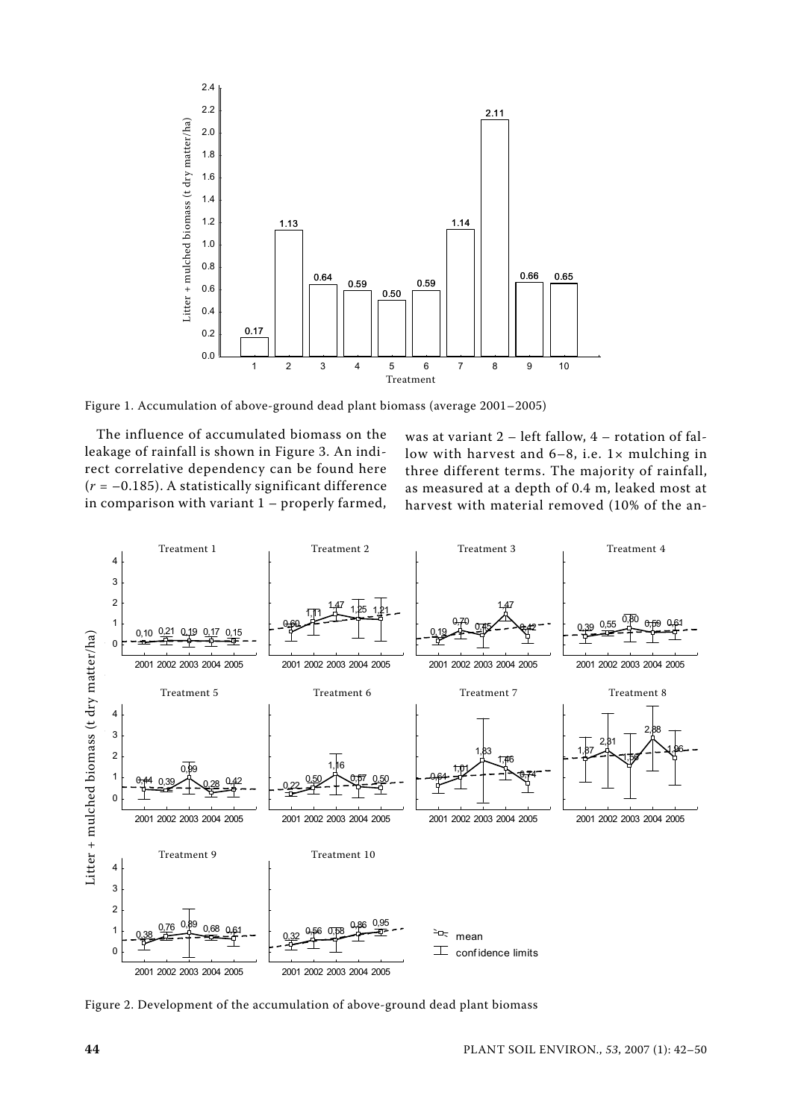

Figure 1. Accumulation of above-ground dead plant biomass (average 2001–2005)

The influence of accumulated biomass on the leakage of rainfall is shown in Figure 3. An indirect correlative dependency can be found here (*r* = –0.185). A statistically significant difference in comparison with variant 1 – properly farmed,

was at variant 2 – left fallow, 4 – rotation of fallow with harvest and  $6-8$ , i.e.  $1\times$  mulching in three different terms. The majority of rainfall, as measured at a depth of 0.4 m, leaked most at harvest with material removed (10% of the an-



Figure 2. Development of the accumulation of above-ground dead plant biomass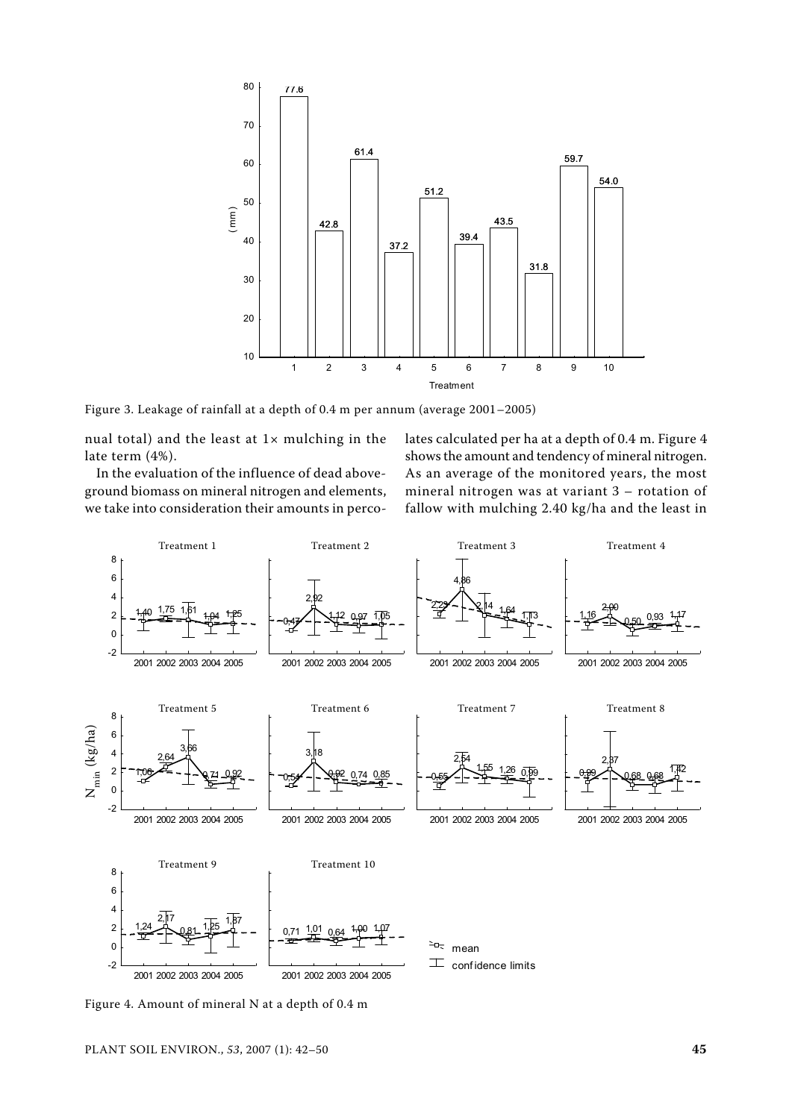

Figure 3. Leakage of rainfall at a depth of 0.4 m per annum (average 2001–2005)

nual total) and the least at  $1 \times$  mulching in the late term (4%).

In the evaluation of the influence of dead aboveground biomass on mineral nitrogen and elements, we take into consideration their amounts in percolates calculated per ha at a depth of 0.4 m. Figure 4 shows the amount and tendency of mineral nitrogen. As an average of the monitored years, the most mineral nitrogen was at variant 3 – rotation of fallow with mulching 2.40 kg/ha and the least in



Figure 4. Amount of mineral  $N$  at a depth of  $0.4$  m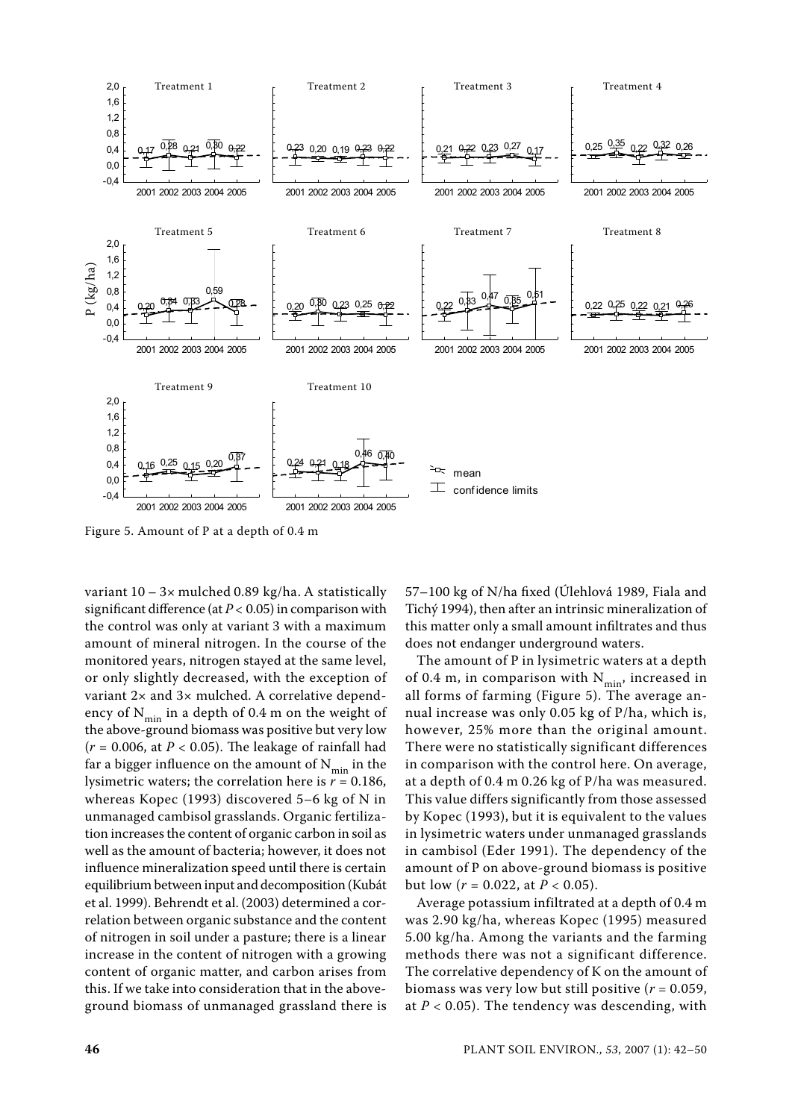

Figure 5. Amount of P at a depth of 0.4 m

variant  $10 - 3 \times$  mulched 0.89 kg/ha. A statistically significant difference (at *P* < 0.05) in comparison with the control was only at variant 3 with a maximum amount of mineral nitrogen. In the course of the monitored years, nitrogen stayed at the same level, or only slightly decreased, with the exception of variant 2× and 3× mulched. A correlative dependency of  $N_{\text{min}}$  in a depth of 0.4 m on the weight of the above-ground biomass was positive but very low (*r* = 0.006, at *P* < 0.05). The leakage of rainfall had far a bigger influence on the amount of  $N_{\text{min}}$  in the lysimetric waters; the correlation here is  $r = 0.186$ , whereas Kopec (1993) discovered 5–6 kg of N in unmanaged cambisol grasslands. Organic fertilization increases the content of organic carbon in soil as well as the amount of bacteria; however, it does not influence mineralization speed until there is certain equilibrium between input and decomposition (Kubát et al. 1999). Behrendt et al. (2003) determined a correlation between organic substance and the content of nitrogen in soil under a pasture; there is a linear increase in the content of nitrogen with a growing content of organic matter, and carbon arises from this. If we take into consideration that in the aboveground biomass of unmanaged grassland there is

57–100 kg of N/ha fixed (Úlehlová 1989, Fiala and Tichý 1994), then after an intrinsic mineralization of this matter only a small amount infiltrates and thus does not endanger underground waters.

The amount of P in lysimetric waters at a depth of 0.4 m, in comparison with  $N_{min}$ , increased in all forms of farming (Figure 5). The average annual increase was only 0.05 kg of P/ha, which is, however, 25% more than the original amount. There were no statistically significant differences in comparison with the control here. On average, at a depth of 0.4 m 0.26 kg of P/ha was measured. This value differs significantly from those assessed by Kopec (1993), but it is equivalent to the values in lysimetric waters under unmanaged grasslands in cambisol (Eder 1991). The dependency of the amount of P on above-ground biomass is positive but low ( $r = 0.022$ , at  $P < 0.05$ ).

Average potassium infiltrated at a depth of 0.4 m was 2.90 kg/ha, whereas Kopec (1995) measured 5.00 kg/ha. Among the variants and the farming methods there was not a significant difference. The correlative dependency of K on the amount of biomass was very low but still positive (*r* = 0.059, at  $P < 0.05$ ). The tendency was descending, with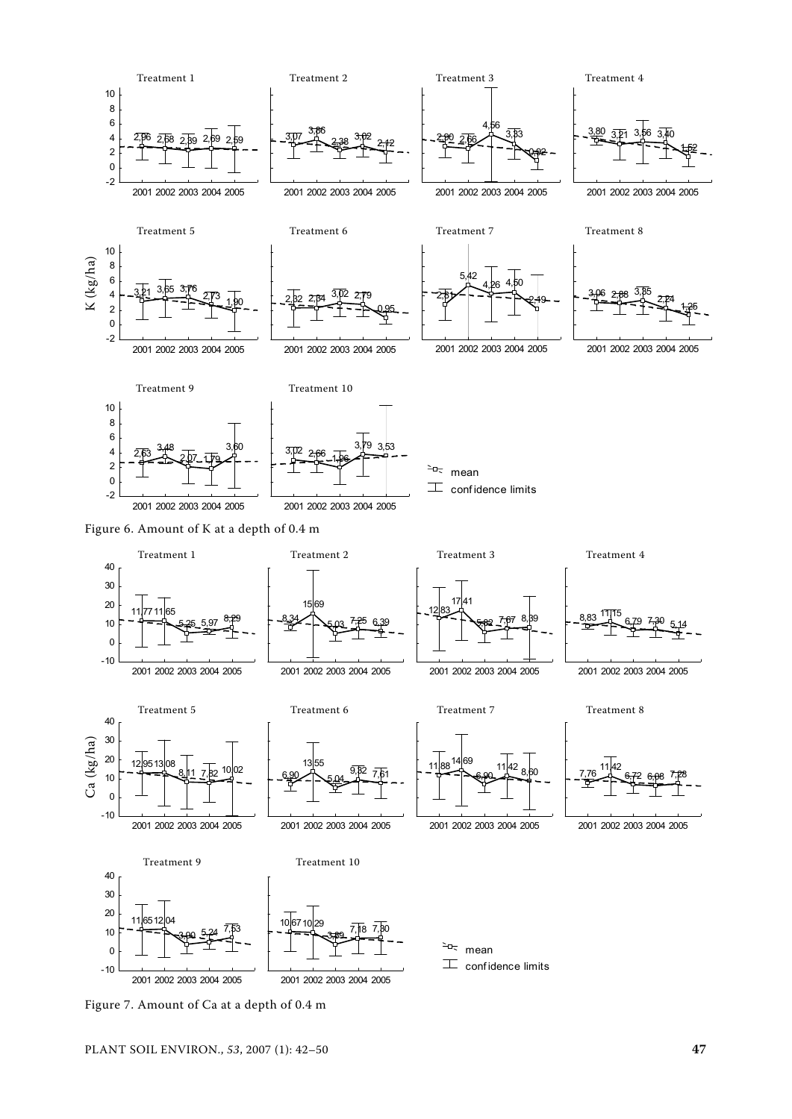

Figure 7. Amount of Ca at a depth of 0.4 m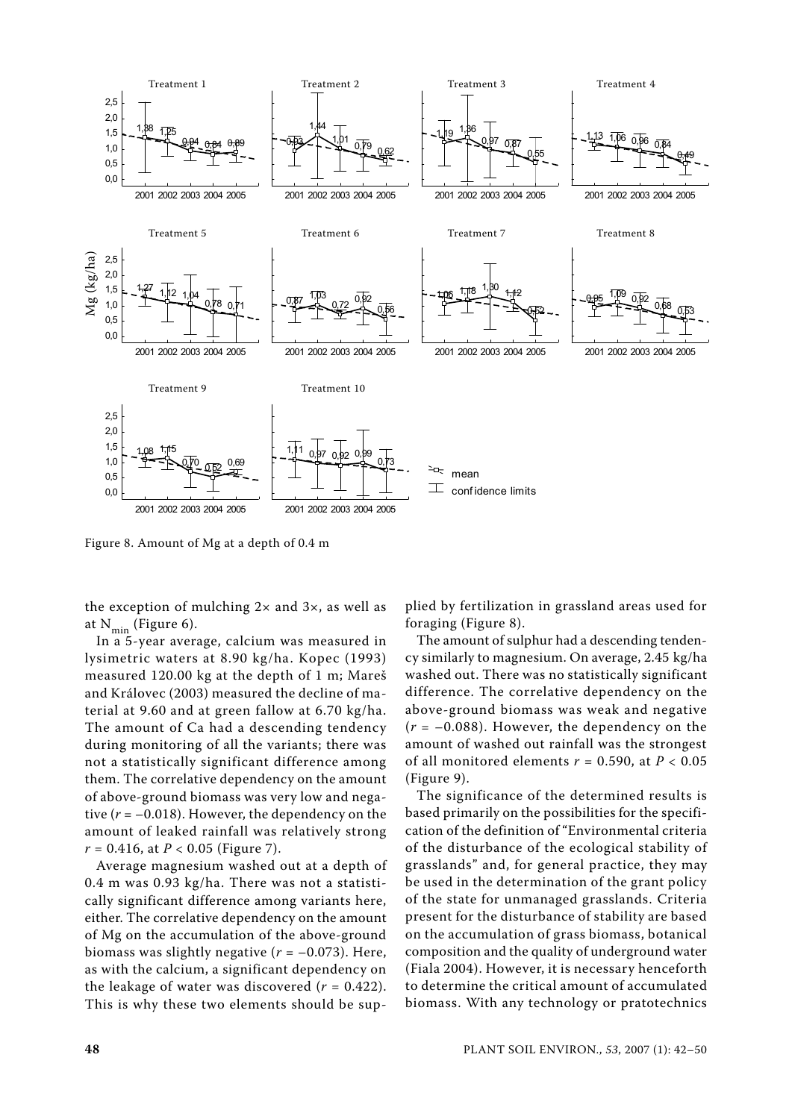

Figure 8. Amount of Mg at a depth of 0.4 m

the exception of mulching  $2 \times$  and  $3 \times$ , as well as at  $N_{\text{min}}$  (Figure 6).

In a 5-year average, calcium was measured in lysimetric waters at 8.90 kg/ha. Kopec (1993) measured 120.00 kg at the depth of 1 m; Mareš and Královec (2003) measured the decline of material at 9.60 and at green fallow at 6.70 kg/ha. The amount of Ca had a descending tendency during monitoring of all the variants; there was not a statistically significant difference among them. The correlative dependency on the amount of above-ground biomass was very low and negative  $(r = -0.018)$ . However, the dependency on the amount of leaked rainfall was relatively strong *r* = 0.416, at *P* < 0.05 (Figure 7).

Average magnesium washed out at a depth of 0.4 m was 0.93 kg/ha. There was not a statistically significant difference among variants here, either. The correlative dependency on the amount of Mg on the accumulation of the above-ground biomass was slightly negative  $(r = -0.073)$ . Here, as with the calcium, a significant dependency on the leakage of water was discovered  $(r = 0.422)$ . This is why these two elements should be sup-

plied by fertilization in grassland areas used for foraging (Figure 8).

The amount of sulphur had a descending tendency similarly to magnesium. On average, 2.45 kg/ha washed out. There was no statistically significant difference. The correlative dependency on the above-ground biomass was weak and negative  $(r = -0.088)$ . However, the dependency on the amount of washed out rainfall was the strongest of all monitored elements *r* = 0.590, at *P* < 0.05 (Figure 9).

The significance of the determined results is based primarily on the possibilities for the specification of the definition of "Environmental criteria of the disturbance of the ecological stability of grasslands" and, for general practice, they may be used in the determination of the grant policy of the state for unmanaged grasslands. Criteria present for the disturbance of stability are based on the accumulation of grass biomass, botanical composition and the quality of underground water (Fiala 2004). However, it is necessary henceforth to determine the critical amount of accumulated biomass. With any technology or pratotechnics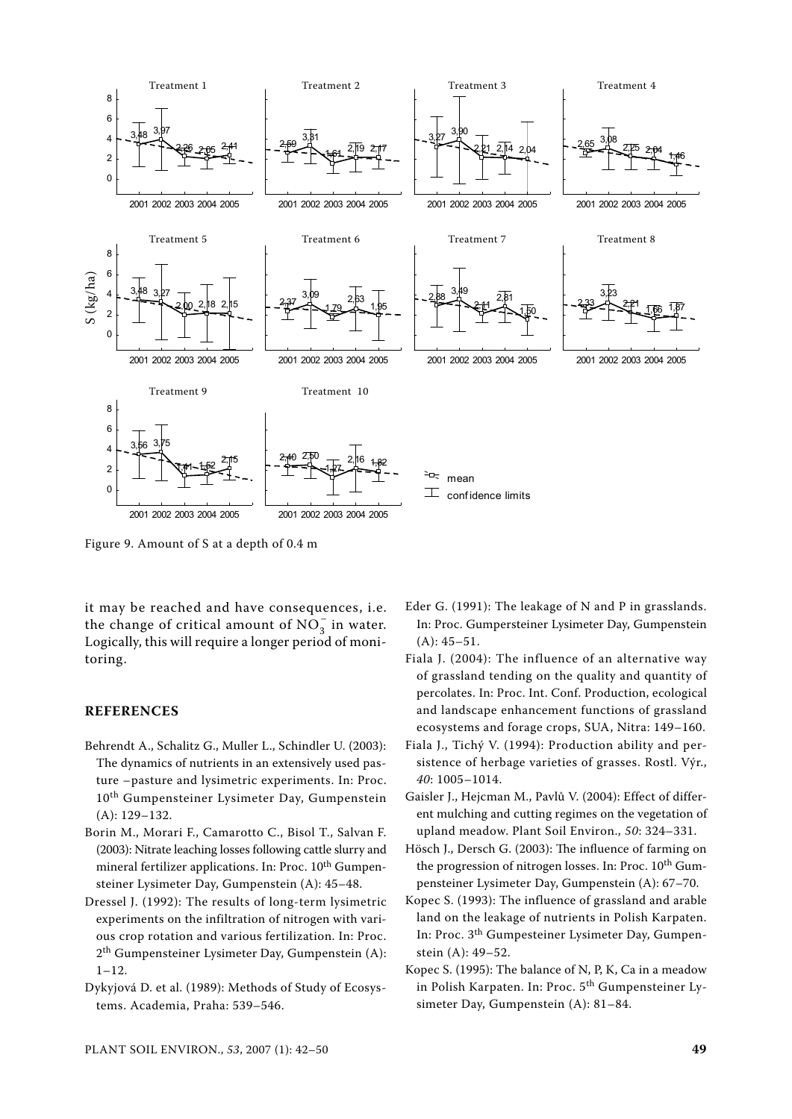

Figure 9. Amount of S at a depth of 0.4  $\mathrm{m}$ 

it may be reached and have consequences, i.e. the change of critical amount of  $NO_3^-$  in water. Logically, this will require a longer period of monitoring.

#### **REFERENCES**

- Behrendt A., Schalitz G., Muller L., Schindler U. (2003): The dynamics of nutrients in an extensively used pasture –pasture and lysimetric experiments. In: Proc. 10<sup>th</sup> Gumpensteiner Lysimeter Day, Gumpenstein (A): 129–132.
- Borin M., Morari F., Camarotto C., Bisol T., Salvan F. (2003): Nitrate leaching losses following cattle slurry and mineral fertilizer applications. In: Proc. 10<sup>th</sup> Gumpensteiner Lysimeter Day, Gumpenstein (A): 45–48.
- Dressel J. (1992): The results of long-term lysimetric experiments on the infiltration of nitrogen with various crop rotation and various fertilization. In: Proc. 2th Gumpensteiner Lysimeter Day, Gumpenstein (A):  $1 - 12.$
- Dykyjová D. et al. (1989): Methods of Study of Ecosystems. Academia, Praha: 539–546.
- Eder G. (1991): The leakage of N and P in grasslands. In: Proc. Gumpersteiner Lysimeter Day, Gumpenstein (A): 45–51.
- Fiala J. (2004): The influence of an alternative way of grassland tending on the quality and quantity of percolates. In: Proc. Int. Conf. Production, ecological and landscape enhancement functions of grassland ecosystems and forage crops, SUA, Nitra: 149–160.
- Fiala J., Tichý V. (1994): Production ability and persistence of herbage varieties of grasses. Rostl. Výr., *40*: 1005–1014.
- Gaisler J., Hejcman M., Pavlů V. (2004): Effect of different mulching and cutting regimes on the vegetation of upland meadow. Plant Soil Environ., *50*: 324–331.
- Hösch J., Dersch G. (2003): The influence of farming on the progression of nitrogen losses. In: Proc. 10<sup>th</sup> Gumpensteiner Lysimeter Day, Gumpenstein (A): 67–70.
- Kopec S. (1993): The influence of grassland and arable land on the leakage of nutrients in Polish Karpaten. In: Proc. 3th Gumpesteiner Lysimeter Day, Gumpenstein (A): 49–52.
- Kopec S. (1995): The balance of N, P, K, Ca in a meadow in Polish Karpaten. In: Proc. 5<sup>th</sup> Gumpensteiner Lysimeter Day, Gumpenstein (A): 81–84.